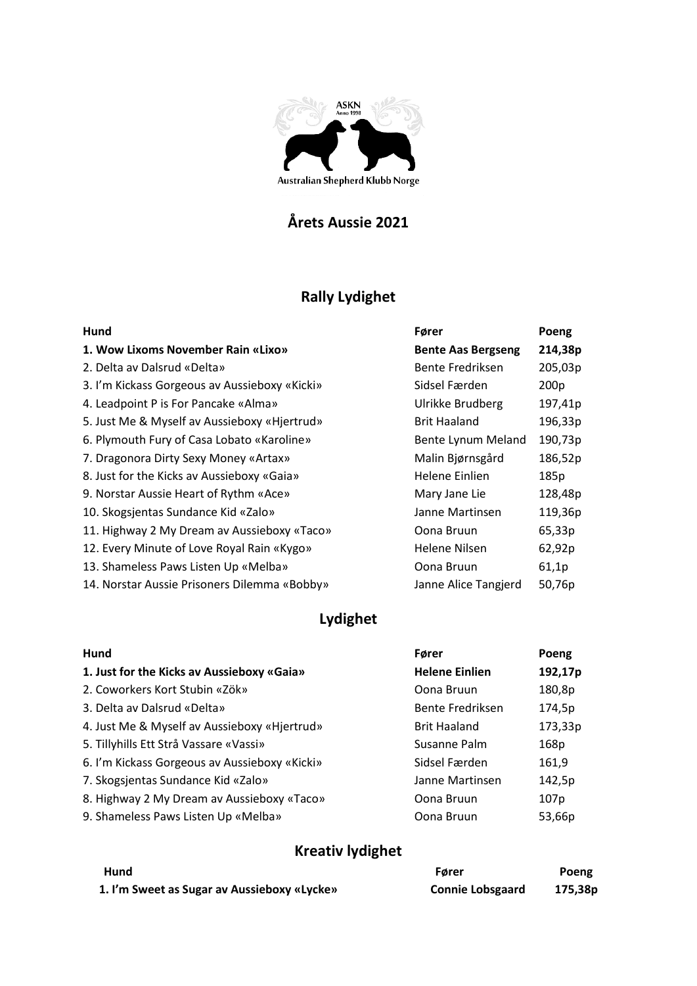

## **Årets Aussie 2021**

# **Rally Lydighet**

| Hund                                          | Fører                     | Poeng            |
|-----------------------------------------------|---------------------------|------------------|
| 1. Wow Lixoms November Rain «Lixo»            | <b>Bente Aas Bergseng</b> | 214,38p          |
| 2. Delta av Dalsrud «Delta»                   | Bente Fredriksen          | 205,03p          |
| 3. I'm Kickass Gorgeous av Aussieboxy «Kicki» | Sidsel Færden             | 200 <sub>p</sub> |
| 4. Leadpoint P is For Pancake «Alma»          | Ulrikke Brudberg          | 197,41p          |
| 5. Just Me & Myself av Aussieboxy «Hjertrud»  | <b>Brit Haaland</b>       | 196,33p          |
| 6. Plymouth Fury of Casa Lobato «Karoline»    | Bente Lynum Meland        | 190,73p          |
| 7. Dragonora Dirty Sexy Money «Artax»         | Malin Bjørnsgård          | 186,52p          |
| 8. Just for the Kicks av Aussieboxy «Gaia»    | Helene Einlien            | 185p             |
| 9. Norstar Aussie Heart of Rythm «Ace»        | Mary Jane Lie             | 128,48p          |
| 10. Skogsjentas Sundance Kid «Zalo»           | Janne Martinsen           | 119,36p          |
| 11. Highway 2 My Dream av Aussieboxy «Taco»   | Oona Bruun                | 65,33p           |
| 12. Every Minute of Love Royal Rain «Kygo»    | Helene Nilsen             | 62,92p           |
| 13. Shameless Paws Listen Up «Melba»          | Oona Bruun                | 61,1p            |
| 14. Norstar Aussie Prisoners Dilemma «Bobby»  | Janne Alice Tangjerd      | 50,76p           |

## **Lydighet**

| Hund                                          | Fører                 | Poeng   |
|-----------------------------------------------|-----------------------|---------|
| 1. Just for the Kicks av Aussieboxy «Gaia»    | <b>Helene Einlien</b> | 192,17p |
| 2. Coworkers Kort Stubin «Zök»                | Oona Bruun            | 180,8p  |
| 3. Delta av Dalsrud «Delta»                   | Bente Fredriksen      | 174,5p  |
| 4. Just Me & Myself av Aussieboxy «Hjertrud»  | <b>Brit Haaland</b>   | 173,33p |
| 5. Tillyhills Ett Strå Vassare «Vassi»        | Susanne Palm          | 168p    |
| 6. I'm Kickass Gorgeous av Aussieboxy «Kicki» | Sidsel Færden         | 161,9   |
| 7. Skogsjentas Sundance Kid «Zalo»            | Janne Martinsen       | 142,5p  |
| 8. Highway 2 My Dream av Aussieboxy «Taco»    | Oona Bruun            | 107p    |
| 9. Shameless Paws Listen Up «Melba»           | Oona Bruun            | 53,66p  |

## **Kreativ lydighet**

| Hund                                        | Fører                   | Poeng   |
|---------------------------------------------|-------------------------|---------|
| 1. I'm Sweet as Sugar av Aussieboxy «Lycke» | <b>Connie Lobsgaard</b> | 175,38p |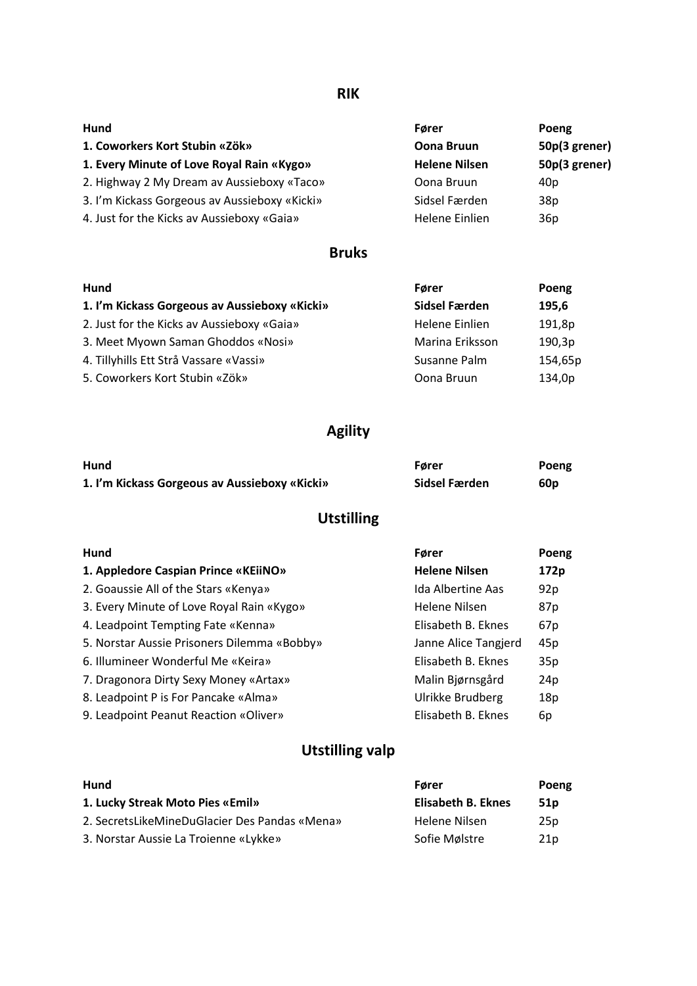#### **RIK**

| Hund                                          | Fører                | Poeng           |
|-----------------------------------------------|----------------------|-----------------|
| 1. Coworkers Kort Stubin «Zök»                | <b>Oona Bruun</b>    | 50p(3 grener)   |
| 1. Every Minute of Love Royal Rain «Kygo»     | <b>Helene Nilsen</b> | 50p(3 grener)   |
| 2. Highway 2 My Dream av Aussieboxy «Taco»    | Oona Bruun           | 40p             |
| 3. I'm Kickass Gorgeous av Aussieboxy «Kicki» | Sidsel Færden        | 38 <sub>p</sub> |
| 4. Just for the Kicks av Aussieboxy «Gaia»    | Helene Einlien       | 36p             |

#### **Bruks**

| Hund                                          | Fører           | Poeng   |
|-----------------------------------------------|-----------------|---------|
| 1. I'm Kickass Gorgeous av Aussieboxy «Kicki» | Sidsel Færden   | 195,6   |
| 2. Just for the Kicks av Aussieboxy «Gaia»    | Helene Einlien  | 191,8p  |
| 3. Meet Myown Saman Ghoddos «Nosi»            | Marina Eriksson | 190,3p  |
| 4. Tillyhills Ett Strå Vassare «Vassi»        | Susanne Palm    | 154,65p |
| 5. Coworkers Kort Stubin «Zök»                | Oona Bruun      | 134,0p  |

## **Agility**

| Hund                                          | Fører         | Poeng |
|-----------------------------------------------|---------------|-------|
| 1. I'm Kickass Gorgeous av Aussieboxy «Kicki» | Sidsel Færden | 60p   |

## **Utstilling**

| Hund                                        | Fører                | Poeng |
|---------------------------------------------|----------------------|-------|
| 1. Appledore Caspian Prince «KEiiNO»        | <b>Helene Nilsen</b> | 172p  |
| 2. Goaussie All of the Stars «Kenya»        | Ida Albertine Aas    | 92p   |
| 3. Every Minute of Love Royal Rain «Kygo»   | Helene Nilsen        | 87p   |
| 4. Leadpoint Tempting Fate «Kenna»          | Elisabeth B. Eknes   | 67p   |
| 5. Norstar Aussie Prisoners Dilemma «Bobby» | Janne Alice Tangjerd | 45p   |
| 6. Illumineer Wonderful Me «Keira»          | Elisabeth B. Eknes   | 35p   |
| 7. Dragonora Dirty Sexy Money «Artax»       | Malin Bjørnsgård     | 24p   |
| 8. Leadpoint P is For Pancake «Alma»        | Ulrikke Brudberg     | 18p   |
| 9. Leadpoint Peanut Reaction «Oliver»       | Elisabeth B. Eknes   | 6p    |

## **Utstilling valp**

| Hund                                          | Fører              |                 |
|-----------------------------------------------|--------------------|-----------------|
| 1. Lucky Streak Moto Pies «Emil»              | Elisabeth B. Eknes | 51 p            |
| 2. SecretsLikeMineDuGlacier Des Pandas «Mena» | Helene Nilsen      | 25 <sub>p</sub> |
| 3. Norstar Aussie La Troienne «Lykke»         | Sofie Mølstre      | 21 <sub>D</sub> |